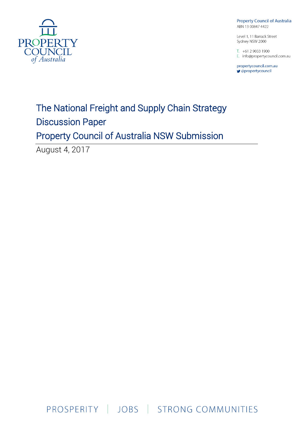

**Property Council of Australia** ABN 13 00847 4422

Level 1, 11 Barrack Street Sydney NSW 2000

 $T. +61290331900$ E. info@propertycouncil.com.au

propertycouncil.com.au *g* @propertycouncil

# The National Freight and Supply Chain Strategy Discussion Paper Property Council of Australia NSW Submission

August 4, 2017

PROSPERITY | JOBS | STRONG COMMUNITIES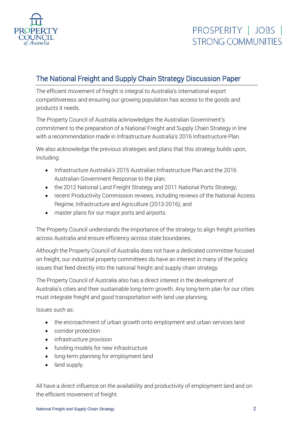

### The National Freight and Supply Chain Strategy Discussion Paper

The efficient movement of freight is integral to Australia's international export competitiveness and ensuring our growing population has access to the goods and products it needs.

The Property Council of Australia acknowledges the Australian Government's commitment to the preparation of a National Freight and Supply Chain Strategy in line with a recommendation made in Infrastructure Australia's 2016 Infrastructure Plan.

We also acknowledge the previous strategies and plans that this strategy builds upon, including:

- Infrastructure Australia's 2015 Australian Infrastructure Plan and the 2016 Australian Government Response to the plan;
- the 2012 National Land Freight Strategy and 2011 National Ports Strategy;
- recent Productivity Commission reviews, including reviews of the National Access Regime, Infrastructure and Agriculture (2013-2016); and
- master plans for our major ports and airports.

The Property Council understands the importance of the strategy to align freight priorities across Australia and ensure efficiency across state boundaries.

Although the Property Council of Australia does not have a dedicated committee focused on freight, our industrial property committees do have an interest in many of the policy issues that feed directly into the national freight and supply chain strategy.

The Property Council of Australia also has a direct interest in the development of Australia's cities and their sustainable long-term growth. Any long-term plan for our cities must integrate freight and good transportation with land use planning.

Issues such as:

- the encroachment of urban growth onto employment and urban services land
- corridor protection
- infrastructure provision
- funding models for new infrastructure
- long-term planning for employment land
- land supply.

All have a direct influence on the availability and productivity of employment land and on the efficient movement of freight.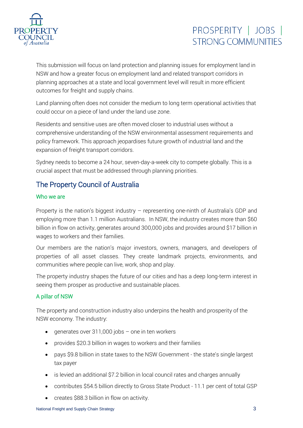

This submission will focus on land protection and planning issues for employment land in NSW and how a greater focus on employment land and related transport corridors in planning approaches at a state and local government level will result in more efficient outcomes for freight and supply chains.

Land planning often does not consider the medium to long term operational activities that could occur on a piece of land under the land use zone.

Residents and sensitive uses are often moved closer to industrial uses without a comprehensive understanding of the NSW environmental assessment requirements and policy framework. This approach jeopardises future growth of industrial land and the expansion of freight transport corridors.

Sydney needs to become a 24 hour, seven-day-a-week city to compete globally. This is a crucial aspect that must be addressed through planning priorities.

### The Property Council of Australia

#### Who we are

Property is the nation's biggest industry – representing one-ninth of Australia's GDP and employing more than 1.1 million Australians. In NSW, the industry creates more than \$60 billion in flow on activity, generates around 300,000 jobs and provides around \$17 billion in wages to workers and their families.

Our members are the nation's major investors, owners, managers, and developers of properties of all asset classes. They create landmark projects, environments, and communities where people can live, work, shop and play.

The property industry shapes the future of our cities and has a deep long-term interest in seeing them prosper as productive and sustainable places.

#### A pillar of NSW

The property and construction industry also underpins the health and prosperity of the NSW economy. The industry:

- generates over 311,000 jobs  $-$  one in ten workers
- provides \$20.3 billion in wages to workers and their families
- pays \$9.8 billion in state taxes to the NSW Government the state's single largest tax payer
- is levied an additional \$7.2 billion in local council rates and charges annually
- contributes \$54.5 billion directly to Gross State Product 11.1 per cent of total GSP
- creates \$88.3 billion in flow on activity.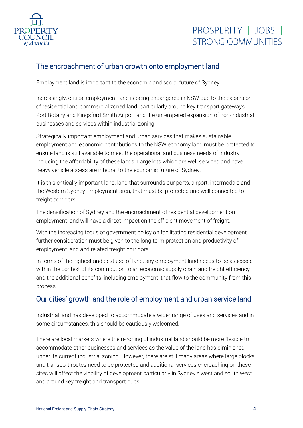

### The encroachment of urban growth onto employment land

Employment land is important to the economic and social future of Sydney.

Increasingly, critical employment land is being endangered in NSW due to the expansion of residential and commercial zoned land, particularly around key transport gateways, Port Botany and Kingsford Smith Airport and the untempered expansion of non-industrial businesses and services within industrial zoning.

Strategically important employment and urban services that makes sustainable employment and economic contributions to the NSW economy land must be protected to ensure land is still available to meet the operational and business needs of industry including the affordability of these lands. Large lots which are well serviced and have heavy vehicle access are integral to the economic future of Sydney.

It is this critically important land, land that surrounds our ports, airport, intermodals and the Western Sydney Employment area, that must be protected and well connected to freight corridors.

The densification of Sydney and the encroachment of residential development on employment land will have a direct impact on the efficient movement of freight.

With the increasing focus of government policy on facilitating residential development, further consideration must be given to the long-term protection and productivity of employment land and related freight corridors.

In terms of the highest and best use of land, any employment land needs to be assessed within the context of its contribution to an economic supply chain and freight efficiency and the additional benefits, including employment, that flow to the community from this process.

#### Our cities' growth and the role of employment and urban service land

Industrial land has developed to accommodate a wider range of uses and services and in some circumstances, this should be cautiously welcomed.

There are local markets where the rezoning of industrial land should be more flexible to accommodate other businesses and services as the value of the land has diminished under its current industrial zoning. However, there are still many areas where large blocks and transport routes need to be protected and additional services encroaching on these sites will affect the viability of development particularly in Sydney's west and south west and around key freight and transport hubs.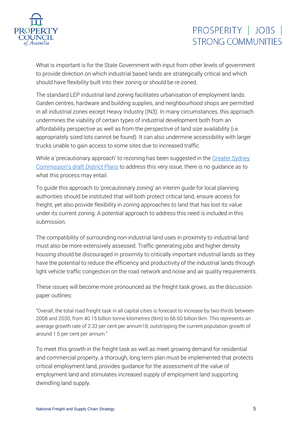

What is important is for the State Government with input from other levels of government to provide direction on which industrial based lands are strategically critical and which should have flexibility built into their zoning or should be re-zoned.

The standard LEP industrial land zoning facilitates urbanisation of employment lands. Garden centres, hardware and building supplies, and neighbourhood shops are permitted in all industrial zones except Heavy Industry (IN3). In many circumstances, this approach undermines the viability of certain types of industrial development both from an affordability perspective as well as from the perspective of land size availability (i.e. appropriately sized lots cannot be found). It can also undermine accessibility with larger trucks unable to gain access to some sites due to increased traffic.

While a 'precautionary approach' to rezoning has been suggested in the [Greater Sydney](https://www.greater.sydney/district-plans)  Commission's [draft District Plans](https://www.greater.sydney/district-plans) to address this very issue, there is no guidance as to what this process may entail.

To guide this approach to 'precautionary zoning' an interim guide for local planning authorities should be instituted that will both protect critical land, ensure access for freight, yet also provide flexibility in zoning approaches to land that has lost its value under its current zoning. A potential approach to address this need is included in this submission.

The compatibility of surrounding non-industrial land uses in proximity to industrial land must also be more extensively assessed. Traffic generating jobs and higher density housing should be discouraged in proximity to critically important industrial lands as they have the potential to reduce the efficiency and productivity of the industrial lands through light vehicle traffic congestion on the road network and noise and air quality requirements.

These issues will become more pronounced as the freight task grows, as the discussion paper outlines:

"Overall, the total road freight task in all capital cities is forecast to increase by two-thirds between 2008 and 2030, from 40.15 billion tonne kilometres (tkm) to 66.60 billion tkm. This represents an average growth rate of 2.33 per cent per annum18, outstripping the current population growth of around 1.5 per cent per annum."

To meet this growth in the freight task as well as meet growing demand for residential and commercial property, a thorough, long term plan must be implemented that protects critical employment land, provides guidance for the assessment of the value of employment land and stimulates increased supply of employment land supporting dwindling land supply.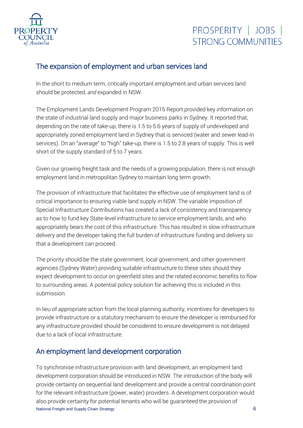

#### The expansion of employment and urban services land

In the short to medium term, critically important employment and urban services land should be protected, *and* expanded in NSW.

The Employment Lands Development Program 2015 Report provided key information on the state of industrial land supply and major business parks in Sydney. It reported that, depending on the rate of take-up, there is 1.5 to 5.6 years of supply of undeveloped and appropriately zoned employment land in Sydney that is serviced (water and sewer lead-in services). On an "average" to "high" take-up, there is 1.5 to 2.8 years of supply. This is well short of the supply standard of 5 to 7 years.

Given our growing freight task and the needs of a growing population, there is not enough employment land in metropolitan Sydney to maintain long term growth.

The provision of infrastructure that facilitates the effective use of employment land is of critical importance to ensuring viable land supply in NSW. The variable imposition of Special Infrastructure Contributions has created a lack of consistency and transparency as to how to fund key State-level infrastructure to service employment lands, and who appropriately bears the cost of this infrastructure. This has resulted in slow infrastructure delivery and the developer taking the full burden of infrastructure funding and delivery so that a development can proceed.

The priority should be the state government, local government, and other government agencies (Sydney Water) providing suitable infrastructure to these sites should they expect development to occur on greenfield sites and the related economic benefits to flow to surrounding areas. A potential policy solution for achieving this is included in this submission.

In lieu of appropriate action from the local planning authority, incentives for developers to provide infrastructure or a statutory mechanism to ensure the developer is reimbursed for any infrastructure provided should be considered to ensure development is not delayed due to a lack of local infrastructure.

#### An employment land development corporation

National Freight and Supply Chain Strategy 6 To synchronise infrastructure provision with land development, an employment land development corporation should be introduced in NSW. The introduction of the body will provide certainty on sequential land development and provide a central coordination point for the relevant infrastructure (power, water) providers. A development corporation would also provide certainty for potential tenants who will be guaranteed the provision of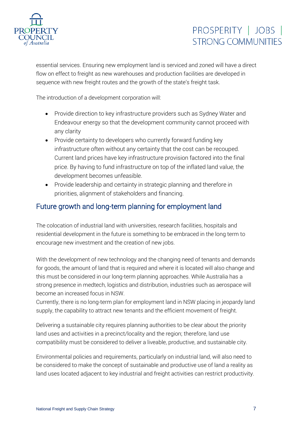

essential services. Ensuring new employment land is serviced and zoned will have a direct flow on effect to freight as new warehouses and production facilities are developed in sequence with new freight routes and the growth of the state's freight task.

The introduction of a development corporation will:

- Provide direction to key infrastructure providers such as Sydney Water and Endeavour energy so that the development community cannot proceed with any clarity
- Provide certainty to developers who currently forward funding key infrastructure often without any certainty that the cost can be recouped. Current land prices have key infrastructure provision factored into the final price. By having to fund infrastructure on top of the inflated land value, the development becomes unfeasible.
- Provide leadership and certainty in strategic planning and therefore in priorities, alignment of stakeholders and financing.

#### Future growth and long-term planning for employment land

The colocation of industrial land with universities, research facilities, hospitals and residential development in the future is something to be embraced in the long term to encourage new investment and the creation of new jobs.

With the development of new technology and the changing need of tenants and demands for goods, the amount of land that is required and where it is located will also change and this must be considered in our long-term planning approaches. While Australia has a strong presence in medtech, logistics and distribution, industries such as aerospace will become an increased focus in NSW.

Currently, there is no long-term plan for employment land in NSW placing in jeopardy land supply, the capability to attract new tenants and the efficient movement of freight.

Delivering a sustainable city requires planning authorities to be clear about the priority land uses and activities in a precinct/locality and the region; therefore, land use compatibility must be considered to deliver a liveable, productive, and sustainable city.

Environmental policies and requirements, particularly on industrial land, will also need to be considered to make the concept of sustainable and productive use of land a reality as land uses located adjacent to key industrial and freight activities can restrict productivity.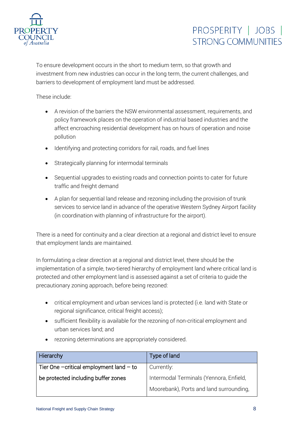

To ensure development occurs in the short to medium term, so that growth and investment from new industries can occur in the long term, the current challenges, and barriers to development of employment land must be addressed.

These include:

- A revision of the barriers the NSW environmental assessment, requirements, and policy framework places on the operation of industrial based industries and the affect encroaching residential development has on hours of operation and noise pollution
- Identifying and protecting corridors for rail, roads, and fuel lines
- Strategically planning for intermodal terminals
- Sequential upgrades to existing roads and connection points to cater for future traffic and freight demand
- A plan for sequential land release and rezoning including the provision of trunk services to service land in advance of the operative Western Sydney Airport facility (in coordination with planning of infrastructure for the airport).

There is a need for continuity and a clear direction at a regional and district level to ensure that employment lands are maintained.

In formulating a clear direction at a regional and district level, there should be the implementation of a simple, two-tiered hierarchy of employment land where critical land is protected and other employment land is assessed against a set of criteria to guide the precautionary zoning approach, before being rezoned:

- critical employment and urban services land is protected (i.e. land with State or regional significance, critical freight access);
- sufficient flexibility is available for the rezoning of non-critical employment and urban services land; and
- Hierarchy **Type of land** Tier One –critical employment land – to be protected including buffer zones Currently: Intermodal Terminals (Yennora, Enfield, Moorebank), Ports and land surrounding,
- rezoning determinations are appropriately considered.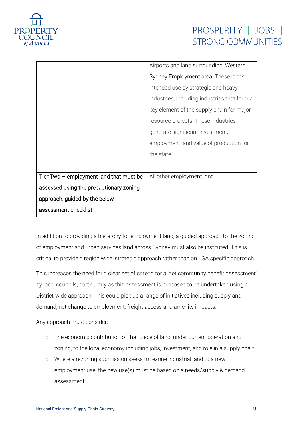

| Airports and land surrounding, Western       |
|----------------------------------------------|
| Sydney Employment area. These lands          |
| intended use by strategic and heavy          |
| industries, including industries that form a |
| key element of the supply chain for major    |
| resource projects. These industries          |
| generate significant investment,             |
| employment, and value of production for      |
| the state.                                   |
|                                              |
| All other employment land                    |
|                                              |
|                                              |
|                                              |
|                                              |

In addition to providing a hierarchy for employment land, a guided approach to the zoning of employment and urban services land across Sydney must also be instituted. This is critical to provide a region wide, strategic approach rather than an LGA specific approach.

This increases the need for a clear set of criteria for a 'net community benefit assessment' by local councils, particularly as this assessment is proposed to be undertaken using a District-wide approach. This could pick up a range of initiatives including supply and demand, net change to employment, freight access and amenity impacts.

Any approach must consider:

- o The economic contribution of that piece of land, under current operation and zoning, to the local economy including jobs, investment, and role in a supply chain.
- o Where a rezoning submission seeks to rezone industrial land to a new employment use, the new use(s) must be based on a needs/supply & demand assessment.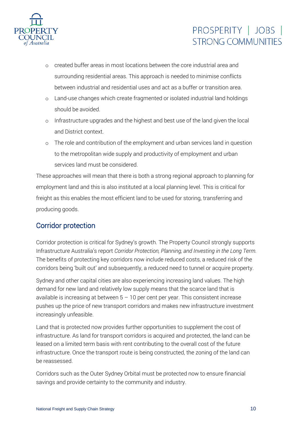

- o created buffer areas in most locations between the core industrial area and surrounding residential areas. This approach is needed to minimise conflicts between industrial and residential uses and act as a buffer or transition area.
- o Land-use changes which create fragmented or isolated industrial land holdings should be avoided.
- o Infrastructure upgrades and the highest and best use of the land given the local and District context.
- o The role and contribution of the employment and urban services land in question to the metropolitan wide supply and productivity of employment and urban services land must be considered.

These approaches will mean that there is both a strong regional approach to planning for employment land and this is also instituted at a local planning level. This is critical for freight as this enables the most efficient land to be used for storing, transferring and producing goods.

#### Corridor protection

Corridor protection is critical for Sydney's growth. The Property Council strongly supports Infrastructure Australia's report *Corridor Protection, Planning, and Investing in the Long Term.* The benefits of protecting key corridors now include reduced costs, a reduced risk of the corridors being 'built out' and subsequently, a reduced need to tunnel or acquire property.

Sydney and other capital cities are also experiencing increasing land values. The high demand for new land and relatively low supply means that the scarce land that is available is increasing at between  $5 - 10$  per cent per year. This consistent increase pushes up the price of new transport corridors and makes new infrastructure investment increasingly unfeasible.

Land that is protected now provides further opportunities to supplement the cost of infrastructure. As land for transport corridors is acquired and protected, the land can be leased on a limited term basis with rent contributing to the overall cost of the future infrastructure. Once the transport route is being constructed, the zoning of the land can be reassessed.

Corridors such as the Outer Sydney Orbital must be protected now to ensure financial savings and provide certainty to the community and industry.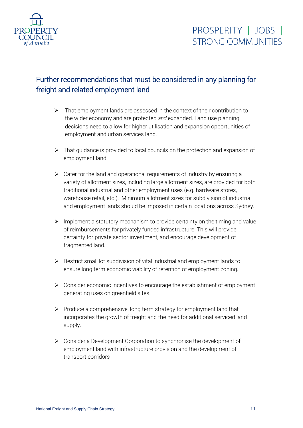

### Further recommendations that must be considered in any planning for freight and related employment land

- ➢ That employment lands are assessed in the context of their contribution to the wider economy and are protected *and* expanded*.* Land use planning decisions need to allow for higher utilisation and expansion opportunities of employment and urban services land.
- ➢ That guidance is provided to local councils on the protection and expansion of employment land.
- $\triangleright$  Cater for the land and operational requirements of industry by ensuring a variety of allotment sizes, including large allotment sizes, are provided for both traditional industrial and other employment uses (e.g. hardware stores, warehouse retail, etc.). Minimum allotment sizes for subdivision of industrial and employment lands should be imposed in certain locations across Sydney.
- $\triangleright$  Implement a statutory mechanism to provide certainty on the timing and value of reimbursements for privately funded infrastructure. This will provide certainty for private sector investment, and encourage development of fragmented land.
- ➢ Restrict small lot subdivision of vital industrial and employment lands to ensure long term economic viability of retention of employment zoning.
- ➢ Consider economic incentives to encourage the establishment of employment generating uses on greenfield sites.
- $\triangleright$  Produce a comprehensive, long term strategy for employment land that incorporates the growth of freight and the need for additional serviced land supply.
- ➢ Consider a Development Corporation to synchronise the development of employment land with infrastructure provision and the development of transport corridors